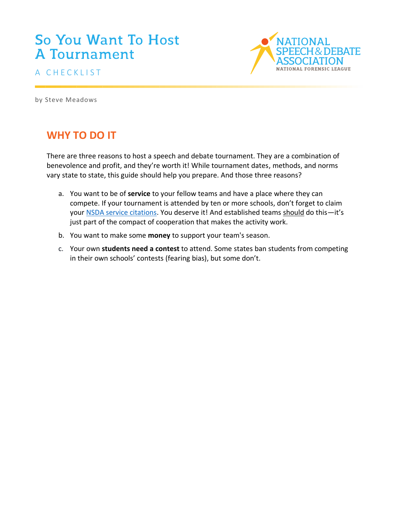# So You Want To Host **A Tournament**





by Steve Meadows

# **WHY TO DO IT**

There are three reasons to host a speech and debate tournament. They are a combination of benevolence and profit, and they're worth it! While tournament dates, methods, and norms vary state to state, this guide should help you prepare. And those three reasons?

- a. You want to be of **service** to your fellow teams and have a place where they can compete. If your tournament is attended by ten or more schools, don't forget to claim your [NSDA service citations.](https://www.speechanddebate.org/coach-recognition/#service) You deserve it! And established teams should do this—it's just part of the compact of cooperation that makes the activity work.
- b. You want to make some **money** to support your team's season.
- c. Your own **students need a contest** to attend. Some states ban students from competing in their own schools' contests (fearing bias), but some don't.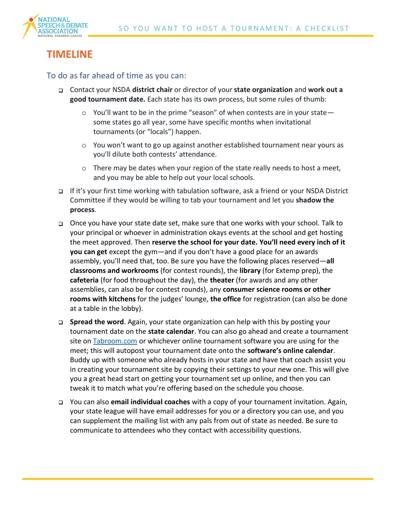

# **TIMELINE**

To do as far ahead of time as you can:

- Contact your NSDA **district chair** or director of your **state organization** and **work out a good tournament date.** Each state has its own process, but some rules of thumb:
	- $\circ$  You'll want to be in the prime "season" of when contests are in your state some states go all year, some have specific months when invitational tournaments (or "locals") happen.
	- o You won't want to go up against another established tournament near yours as you'll dilute both contests' attendance.
	- $\circ$  There may be dates when your region of the state really needs to host a meet, and you may be able to help out your local schools.
- If it's your first time working with tabulation software, ask a friend or your NSDA District Committee if they would be willing to tab your tournament and let you **shadow the process**.
- Once you have your state date set, make sure that one works with your school. Talk to your principal or whoever in administration okays events at the school and get hosting the meet approved. Then **reserve the school for your date. You'll need every inch of it you can get** except the gym—and if you don't have a good place for an awards assembly, you'll need that, too. Be sure you have the following places reserved—**all classrooms and workrooms** (for contest rounds), the **library** (for Extemp prep), the **cafeteria** (for food throughout the day), the **theater** (for awards and any other assemblies, can also be for contest rounds), any **consumer science rooms or other rooms with kitchens** for the judges' lounge, **the office** for registration (can also be done at a table in the lobby).
- **Spread the word**. Again, your state organization can help with this by posting your tournament date on the **state calendar**. You can also go ahead and create a tournament site on [Tabroom.com](https://www.tabroom.com/index/index.mhtml) or whichever online tournament software you are using for the meet; this will autopost your tournament date onto the **software's online calendar**. Buddy up with someone who already hosts in your state and have that coach assist you in creating your tournament site by copying their settings to your new one. This will give you a great head start on getting your tournament set up online, and then you can tweak it to match what you're offering based on the schedule you choose.
- You can also **email individual coaches** with a copy of your tournament invitation. Again, your state league will have email addresses for you or a directory you can use, and you can supplement the mailing list with any pals from out of state as needed. Be sure to communicate to attendees who they contact with accessibility questions.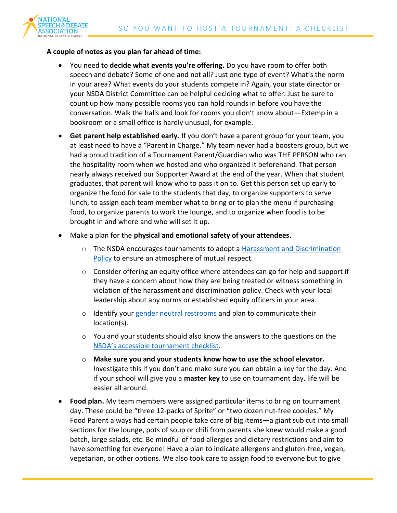

#### **A couple of notes as you plan far ahead of time:**

- You need to **decide what events you're offering.** Do you have room to offer both speech and debate? Some of one and not all? Just one type of event? What's the norm in your area? What events do your students compete in? Again, your state director or your NSDA District Committee can be helpful deciding what to offer. Just be sure to count up how many possible rooms you can hold rounds in before you have the conversation. Walk the halls and look for rooms you didn't know about—Extemp in a bookroom or a small office is hardly unusual, for example.
- **Get parent help established early.** If you don't have a parent group for your team, you at least need to have a "Parent in Charge." My team never had a boosters group, but we had a proud tradition of a Tournament Parent/Guardian who was THE PERSON who ran the hospitality room when we hosted and who organized it beforehand. That person nearly always received our Supporter Award at the end of the year. When that student graduates, that parent will know who to pass it on to. Get this person set up early to organize the food for sale to the students that day, to organize supporters to serve lunch, to assign each team member what to bring or to plan the menu if purchasing food, to organize parents to work the lounge, and to organize when food is to be brought in and where and who will set it up.
- Make a plan for the **physical and emotional safety of your attendees**.
	- o The NSDA encourages tournaments to adopt a [Harassment and Discrimination](https://www.speechanddebate.org/harassment-discrimination-policy/)  [Policy](https://www.speechanddebate.org/harassment-discrimination-policy/) to ensure an atmosphere of mutual respect.
	- $\circ$  Consider offering an equity office where attendees can go for help and support if they have a concern about how they are being treated or witness something in violation of the harassment and discrimination policy. Check with your local leadership about any norms or established equity officers in your area.
	- o Identify your [gender neutral restrooms](https://www.speechanddebate.org/gender-neutral-restroom-best-practices/) and plan to communicate their location(s).
	- $\circ$  You and your students should also know the answers to the questions on the [NSDA's accessible tournament c](https://www.speechanddebate.org/wp-content/uploads/2019_AccessibleTournamentChecklist.pdf)hecklist.
	- o **Make sure you and your students know how to use the school elevator.** Investigate this if you don't and make sure you can obtain a key for the day. And if your school will give you a **master key** to use on tournament day, life will be easier all around.
- **Food plan.** My team members were assigned particular items to bring on tournament day. These could be "three 12-packs of Sprite" or "two dozen nut-free cookies." My Food Parent always had certain people take care of big items—a giant sub cut into small sections for the lounge, pots of soup or chili from parents she knew would make a good batch, large salads, etc. Be mindful of food allergies and dietary restrictions and aim to have something for everyone! Have a plan to indicate allergens and gluten-free, vegan, vegetarian, or other options. We also took care to assign food to everyone but to give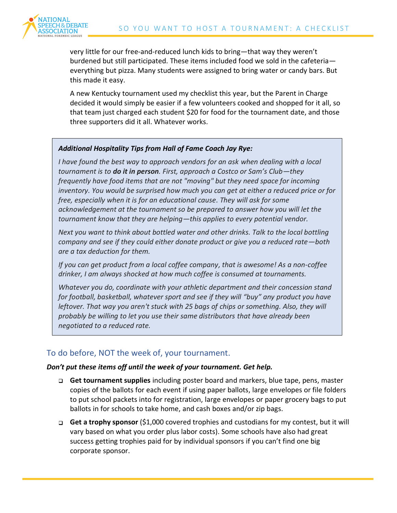

very little for our free-and-reduced lunch kids to bring—that way they weren't burdened but still participated. These items included food we sold in the cafeteria everything but pizza. Many students were assigned to bring water or candy bars. But this made it easy.

A new Kentucky tournament used my checklist this year, but the Parent in Charge decided it would simply be easier if a few volunteers cooked and shopped for it all, so that team just charged each student \$20 for food for the tournament date, and those three supporters did it all. Whatever works.

#### *Additional Hospitality Tips from Hall of Fame Coach Jay Rye:*

*I have found the best way to approach vendors for an ask when dealing with a local tournament is to do it in person. First, approach a Costco or Sam's Club—they frequently have food items that are not "moving" but they need space for incoming inventory. You would be surprised how much you can get at either a reduced price or for free, especially when it is for an educational cause. They will ask for some acknowledgement at the tournament so be prepared to answer how you will let the tournament know that they are helping—this applies to every potential vendor.*

*Next you want to think about bottled water and other drinks. Talk to the local bottling company and see if they could either donate product or give you a reduced rate—both are a tax deduction for them.*

*If you can get product from a local coffee company, that is awesome! As a non-coffee drinker, I am always shocked at how much coffee is consumed at tournaments.*

*Whatever you do, coordinate with your athletic department and their concession stand for football, basketball, whatever sport and see if they will "buy" any product you have leftover. That way you aren't stuck with 25 bags of chips or something. Also, they will probably be willing to let you use their same distributors that have already been negotiated to a reduced rate.*

### To do before, NOT the week of, your tournament.

#### *Don't put these items off until the week of your tournament. Get help.*

- **Get tournament supplies** including poster board and markers, blue tape, pens, master copies of the ballots for each event if using paper ballots, large envelopes or file folders to put school packets into for registration, large envelopes or paper grocery bags to put ballots in for schools to take home, and cash boxes and/or zip bags.
- **Get a trophy sponsor** (\$1,000 covered trophies and custodians for my contest, but it will vary based on what you order plus labor costs). Some schools have also had great success getting trophies paid for by individual sponsors if you can't find one big corporate sponsor.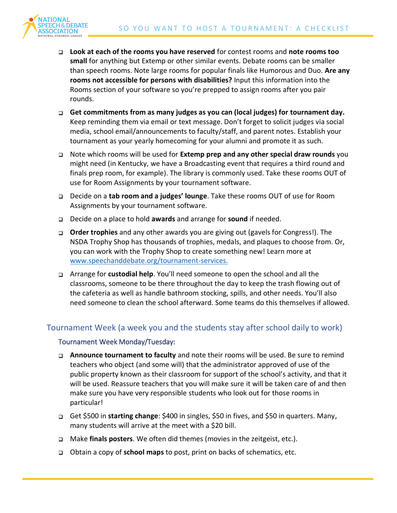

- **Look at each of the rooms you have reserved** for contest rooms and **note rooms too small** for anything but Extemp or other similar events. Debate rooms can be smaller than speech rooms. Note large rooms for popular finals like Humorous and Duo. **Are any rooms not accessible for persons with disabilities?** Input this information into the Rooms section of your software so you're prepped to assign rooms after you pair rounds.
- **Get commitments from as many judges as you can (local judges) for tournament day.** Keep reminding them via email or text message. Don't forget to solicit judges via social media, school email/announcements to faculty/staff, and parent notes. Establish your tournament as your yearly homecoming for your alumni and promote it as such.
- Note which rooms will be used for **Extemp prep and any other special draw rounds** you might need (in Kentucky, we have a Broadcasting event that requires a third round and finals prep room, for example). The library is commonly used. Take these rooms OUT of use for Room Assignments by your tournament software.
- Decide on a **tab room and a judges' lounge**. Take these rooms OUT of use for Room Assignments by your tournament software.
- Decide on a place to hold **awards** and arrange for **sound** if needed.
- **Order trophies** and any other awards you are giving out (gavels for Congress!). The NSDA Trophy Shop has thousands of trophies, medals, and plaques to choose from. Or, you can work with the Trophy Shop to create something new! Learn more at [www.speechanddebate.org/tournament-services.](http://www.speechanddebate.org/tournament-services.)
- Arrange for **custodial help**. You'll need someone to open the school and all the classrooms, someone to be there throughout the day to keep the trash flowing out of the cafeteria as well as handle bathroom stocking, spills, and other needs. You'll also need someone to clean the school afterward. Some teams do this themselves if allowed.

### Tournament Week (a week you and the students stay after school daily to work)

#### Tournament Week Monday/Tuesday:

- **Announce tournament to faculty** and note their rooms will be used. Be sure to remind teachers who object (and some will) that the administrator approved of use of the public property known as their classroom for support of the school's activity, and that it will be used. Reassure teachers that you will make sure it will be taken care of and then make sure you have very responsible students who look out for those rooms in particular!
- Get \$500 in **starting change**: \$400 in singles, \$50 in fives, and \$50 in quarters. Many, many students will arrive at the meet with a \$20 bill.
- Make **finals posters**. We often did themes (movies in the zeitgeist, etc.).
- Obtain a copy of **school maps** to post, print on backs of schematics, etc.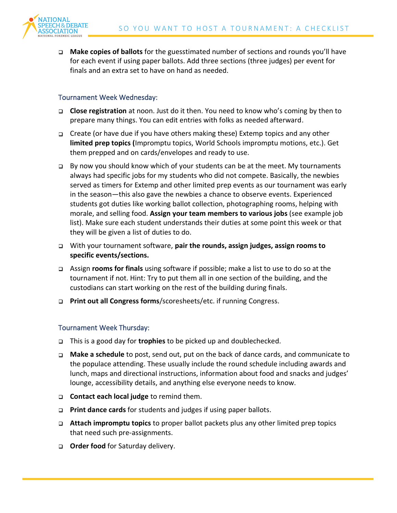

**Make copies of ballots** for the guesstimated number of sections and rounds you'll have for each event if using paper ballots. Add three sections (three judges) per event for finals and an extra set to have on hand as needed.

#### Tournament Week Wednesday:

- **Close registration** at noon. Just do it then. You need to know who's coming by then to prepare many things. You can edit entries with folks as needed afterward.
- Create (or have due if you have others making these) Extemp topics and any other **limited prep topics (**Impromptu topics, World Schools impromptu motions, etc.). Get them prepped and on cards/envelopes and ready to use.
- $\Box$  By now you should know which of your students can be at the meet. My tournaments always had specific jobs for my students who did not compete. Basically, the newbies served as timers for Extemp and other limited prep events as our tournament was early in the season—this also gave the newbies a chance to observe events. Experienced students got duties like working ballot collection, photographing rooms, helping with morale, and selling food. **Assign your team members to various jobs** (see example job list). Make sure each student understands their duties at some point this week or that they will be given a list of duties to do.
- With your tournament software, **pair the rounds, assign judges, assign rooms to specific events/sections.**
- Assign **rooms for finals** using software if possible; make a list to use to do so at the tournament if not. Hint: Try to put them all in one section of the building, and the custodians can start working on the rest of the building during finals.
- **Print out all Congress forms**/scoresheets/etc. if running Congress.

#### Tournament Week Thursday:

- This is a good day for **trophies** to be picked up and doublechecked.
- **Make a schedule** to post, send out, put on the back of dance cards, and communicate to the populace attending. These usually include the round schedule including awards and lunch, maps and directional instructions, information about food and snacks and judges' lounge, accessibility details, and anything else everyone needs to know.
- **Contact each local judge** to remind them.
- **Print dance cards** for students and judges if using paper ballots.
- **Attach impromptu topics** to proper ballot packets plus any other limited prep topics that need such pre-assignments.
- **D Order food** for Saturday delivery.